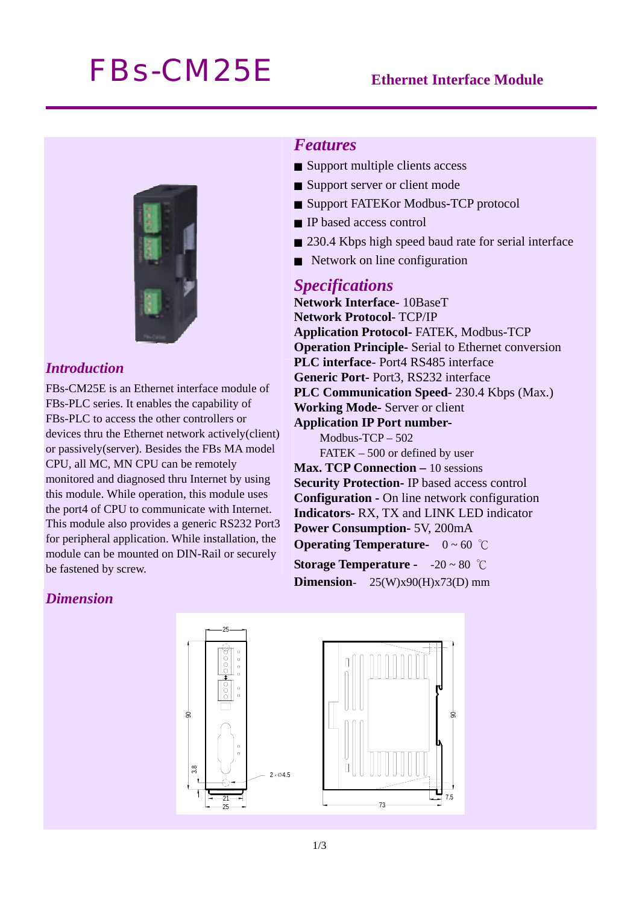# *FBs-CM25E* **Ethernet Interface Module**



# *Introduction*

FBs-CM25E is an Ethernet interface module of FBs-PLC series. It enables the capability of FBs-PLC to access the other controllers or devices thru the Ethernet network actively(client) or passively(server). Besides the FBs MA model CPU, all MC, MN CPU can be remotely monitored and diagnosed thru Internet by using this module. While operation, this module uses the port4 of CPU to communicate with Internet. This module also provides a generic RS232 Port3 for peripheral application. While installation, the module can be mounted on DIN-Rail or securely be fastened by screw.

# *Features*

- Support multiple clients access
- Support server or client mode
- Support FATEKor Modbus-TCP protocol
- IP based access control
- 230.4 Kbps high speed baud rate for serial interface
- Network on line configuration

### *Specifications*

**Network Interface**- 10BaseT **Network Protocol**- TCP/IP **Application Protocol-** FATEK, Modbus-TCP **Operation Principle-** Serial to Ethernet conversion **PLC interface**- Port4 RS485 interface **Generic Port-** Port3, RS232 interface **PLC Communication Speed**- 230.4 Kbps (Max.) **Working Mode-** Server or client **Application IP Port number-**Modbus-TCP – 502 FATEK – 500 or defined by user **Max. TCP Connection – 10 sessions Security Protection-** IP based access control **Configuration -** On line network configuration **Indicators-** RX, TX and LINK LED indicator **Power Consumption-** 5V, 200mA

**Operating Temperature-** 0 ~ 60 ℃ **Storage Temperature -** -20 ~ 80 ℃

**Dimension**- 25(W)x90(H)x73(D) mm

## *Dimension*

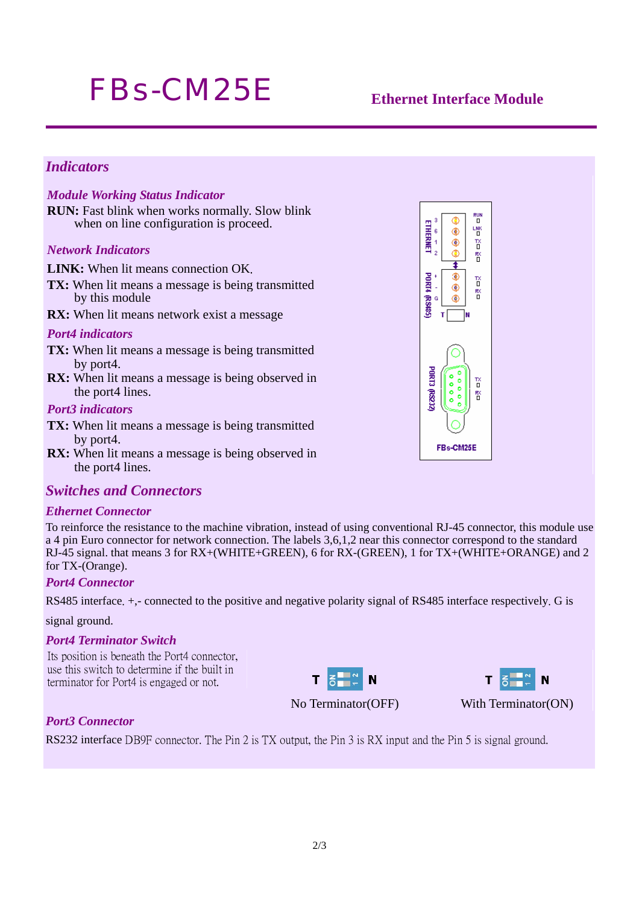# *FBs-CM25E* **Ethernet Interface Module**

# *Indicators*

#### *Module Working Status Indicator*

**RUN:** Fast blink when works normally. Slow blink when on line configuration is proceed.

#### *Network Indicators*

**LINK:** When lit means connection OK.

- **TX:** When lit means a message is being transmitted by this module
- **RX:** When lit means network exist a message

#### *Port4 indicators*

- **TX:** When lit means a message is being transmitted by port4.
- **RX:** When lit means a message is being observed in the port4 lines.

#### *Port3 indicators*

- **TX:** When lit means a message is being transmitted by port4.
- **RX:** When lit means a message is being observed in the port4 lines.

### *Switches and Connectors*

#### *Ethernet Connector*

To reinforce the resistance to the machine vibration, instead of using conventional RJ-45 connector, this module use a 4 pin Euro connector for network connection. The labels 3,6,1,2 near this connector correspond to the standard RJ-45 signal. that means 3 for RX+(WHITE+GREEN), 6 for RX-(GREEN), 1 for TX+(WHITE+ORANGE) and 2 for TX-(Orange).

#### *Port4 Connector*

RS485 interface. +,- connected to the positive and negative polarity signal of RS485 interface respectively. G is

#### signal ground.

#### *Port4 Terminator Switch*

Its position is beneath the Port4 connector, use this switch to determine if the built in terminator for Port4 is engaged or not.





No Terminator(OFF) With Terminator(ON)

### *Port3 Connector*

RS232 interface DB9F connector. The Pin 2 is TX output, the Pin 3 is RX input and the Pin 5 is signal ground.